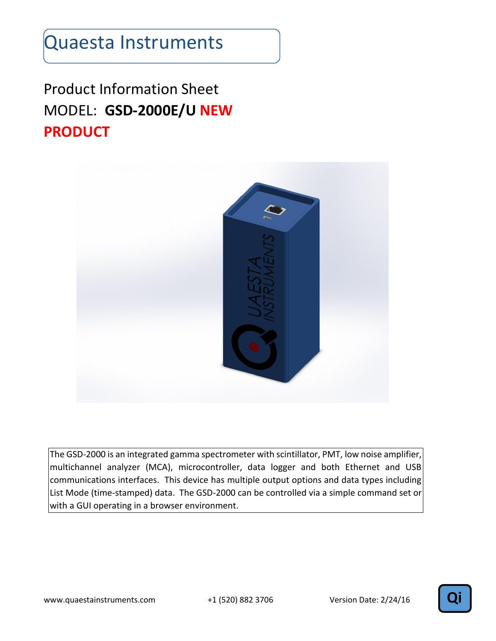#### Product Information Sheet MODEL: **GSD-2000E/U NEW PRODUCT**



The GSD-2000 is an integrated gamma spectrometer with scintillator, PMT, low noise amplifier, multichannel analyzer (MCA), microcontroller, data logger and both Ethernet and USB communications interfaces. This device has multiple output options and data types including List Mode (time-stamped) data. The GSD-2000 can be controlled via a simple command set or with a GUI operating in a browser environment.

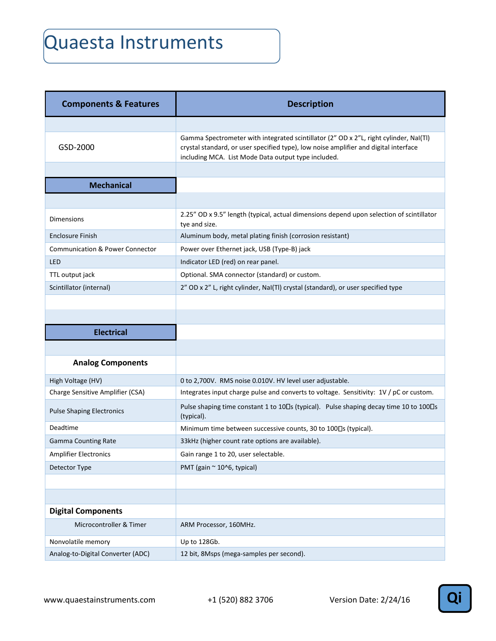| <b>Components &amp; Features</b>           | <b>Description</b>                                                                                                                                                                                                                   |
|--------------------------------------------|--------------------------------------------------------------------------------------------------------------------------------------------------------------------------------------------------------------------------------------|
|                                            |                                                                                                                                                                                                                                      |
| GSD-2000                                   | Gamma Spectrometer with integrated scintillator (2" OD x 2"L, right cylinder, NaI(TI)<br>crystal standard, or user specified type), low noise amplifier and digital interface<br>including MCA. List Mode Data output type included. |
|                                            |                                                                                                                                                                                                                                      |
| <b>Mechanical</b>                          |                                                                                                                                                                                                                                      |
|                                            |                                                                                                                                                                                                                                      |
| <b>Dimensions</b>                          | 2.25" OD x 9.5" length (typical, actual dimensions depend upon selection of scintillator<br>tye and size.                                                                                                                            |
| <b>Enclosure Finish</b>                    | Aluminum body, metal plating finish (corrosion resistant)                                                                                                                                                                            |
| <b>Communication &amp; Power Connector</b> | Power over Ethernet jack, USB (Type-B) jack                                                                                                                                                                                          |
| <b>LED</b>                                 | Indicator LED (red) on rear panel.                                                                                                                                                                                                   |
| TTL output jack                            | Optional. SMA connector (standard) or custom.                                                                                                                                                                                        |
| Scintillator (internal)                    | 2" OD x 2" L, right cylinder, NaI(TI) crystal (standard), or user specified type                                                                                                                                                     |
|                                            |                                                                                                                                                                                                                                      |
|                                            |                                                                                                                                                                                                                                      |
| <b>Electrical</b>                          |                                                                                                                                                                                                                                      |
|                                            |                                                                                                                                                                                                                                      |
| <b>Analog Components</b>                   |                                                                                                                                                                                                                                      |
| High Voltage (HV)                          | 0 to 2,700V. RMS noise 0.010V. HV level user adjustable.                                                                                                                                                                             |
| Charge Sensitive Amplifier (CSA)           | Integrates input charge pulse and converts to voltage. Sensitivity: 1V / pC or custom.                                                                                                                                               |
| <b>Pulse Shaping Electronics</b>           | Pulse shaping time constant 1 to 10□s (typical). Pulse shaping decay time 10 to 100□s<br>(typical).                                                                                                                                  |
| Deadtime                                   | Minimum time between successive counts, 30 to 100 <sup>D</sup> s (typical).                                                                                                                                                          |
| <b>Gamma Counting Rate</b>                 | 33kHz (higher count rate options are available).                                                                                                                                                                                     |
| <b>Amplifier Electronics</b>               | Gain range 1 to 20, user selectable.                                                                                                                                                                                                 |
| Detector Type                              | PMT (gain ~ 10^6, typical)                                                                                                                                                                                                           |
|                                            |                                                                                                                                                                                                                                      |
|                                            |                                                                                                                                                                                                                                      |
| <b>Digital Components</b>                  |                                                                                                                                                                                                                                      |
| Microcontroller & Timer                    | ARM Processor, 160MHz.                                                                                                                                                                                                               |
| Nonvolatile memory                         | Up to 128Gb.                                                                                                                                                                                                                         |
| Analog-to-Digital Converter (ADC)          | 12 bit, 8Msps (mega-samples per second).                                                                                                                                                                                             |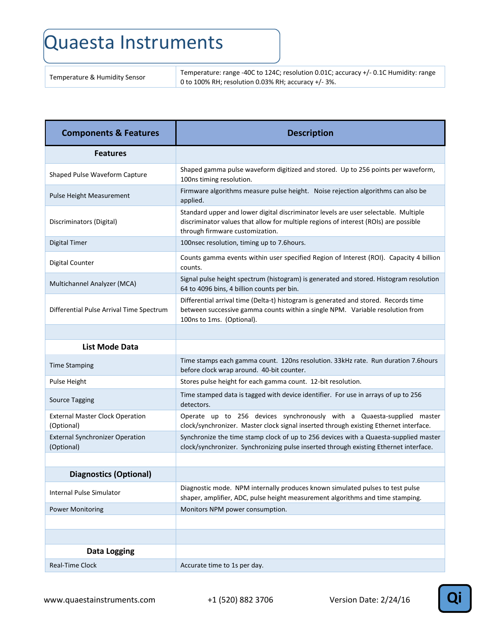Temperature & Humidity Sensor Temperature: range -40C to 124C; resolution 0.01C; accuracy +/- 0.1C Humidity: range 0 to 100% RH; resolution 0.03% RH; accuracy +/- 3%.

| <b>Components &amp; Features</b>                     | <b>Description</b>                                                                                                                                                                                             |
|------------------------------------------------------|----------------------------------------------------------------------------------------------------------------------------------------------------------------------------------------------------------------|
| <b>Features</b>                                      |                                                                                                                                                                                                                |
| Shaped Pulse Waveform Capture                        | Shaped gamma pulse waveform digitized and stored. Up to 256 points per waveform,<br>100ns timing resolution.                                                                                                   |
| <b>Pulse Height Measurement</b>                      | Firmware algorithms measure pulse height. Noise rejection algorithms can also be<br>applied.                                                                                                                   |
| Discriminators (Digital)                             | Standard upper and lower digital discriminator levels are user selectable. Multiple<br>discriminator values that allow for multiple regions of interest (ROIs) are possible<br>through firmware customization. |
| <b>Digital Timer</b>                                 | 100nsec resolution, timing up to 7.6hours.                                                                                                                                                                     |
| <b>Digital Counter</b>                               | Counts gamma events within user specified Region of Interest (ROI). Capacity 4 billion<br>counts.                                                                                                              |
| Multichannel Analyzer (MCA)                          | Signal pulse height spectrum (histogram) is generated and stored. Histogram resolution<br>64 to 4096 bins, 4 billion counts per bin.                                                                           |
| Differential Pulse Arrival Time Spectrum             | Differential arrival time (Delta-t) histogram is generated and stored. Records time<br>between successive gamma counts within a single NPM. Variable resolution from<br>100ns to 1ms. (Optional).              |
|                                                      |                                                                                                                                                                                                                |
| <b>List Mode Data</b>                                |                                                                                                                                                                                                                |
| <b>Time Stamping</b>                                 | Time stamps each gamma count. 120ns resolution. 33kHz rate. Run duration 7.6hours<br>before clock wrap around. 40-bit counter.                                                                                 |
| <b>Pulse Height</b>                                  | Stores pulse height for each gamma count. 12-bit resolution.                                                                                                                                                   |
| Source Tagging                                       | Time stamped data is tagged with device identifier. For use in arrays of up to 256<br>detectors.                                                                                                               |
| <b>External Master Clock Operation</b><br>(Optional) | Operate up to 256 devices synchronously with a Quaesta-supplied master<br>clock/synchronizer. Master clock signal inserted through existing Ethernet interface.                                                |
| <b>External Synchronizer Operation</b><br>(Optional) | Synchronize the time stamp clock of up to 256 devices with a Quaesta-supplied master<br>clock/synchronizer. Synchronizing pulse inserted through existing Ethernet interface.                                  |
|                                                      |                                                                                                                                                                                                                |
| <b>Diagnostics (Optional)</b>                        |                                                                                                                                                                                                                |
| Internal Pulse Simulator                             | Diagnostic mode. NPM internally produces known simulated pulses to test pulse<br>shaper, amplifier, ADC, pulse height measurement algorithms and time stamping.                                                |
| <b>Power Monitoring</b>                              | Monitors NPM power consumption.                                                                                                                                                                                |
|                                                      |                                                                                                                                                                                                                |
|                                                      |                                                                                                                                                                                                                |
| <b>Data Logging</b>                                  |                                                                                                                                                                                                                |
| <b>Real-Time Clock</b>                               | Accurate time to 1s per day.                                                                                                                                                                                   |